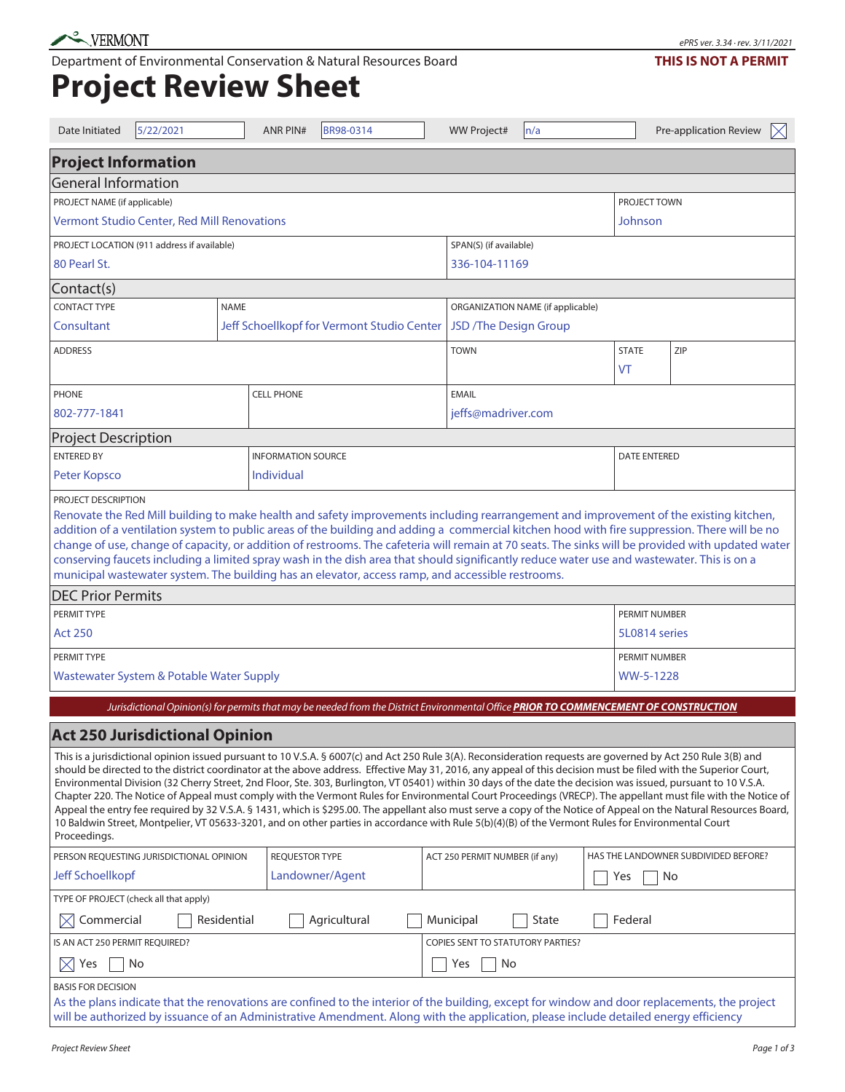Department of Environmental Conservation & Natural Resources Board

## ePRS ver. 3.34 · rev. 3/11/2021 **THIS IS NOT A PERMIT**

**Project Review Sheet**

| Date Initiated                                                                                                                                                                                                                                                                                                                                                                                                                                                                                                                                                                                                                                                                                                                                                                                                                                                                                                                                                                                                 | 5/22/2021 |             | <b>ANR PIN#</b>           |                                            | BR98-0314    |               |                                   | <b>WW Project#</b>             |  | n/a                |                                      |                     | Pre-application Review | $\times$ |  |
|----------------------------------------------------------------------------------------------------------------------------------------------------------------------------------------------------------------------------------------------------------------------------------------------------------------------------------------------------------------------------------------------------------------------------------------------------------------------------------------------------------------------------------------------------------------------------------------------------------------------------------------------------------------------------------------------------------------------------------------------------------------------------------------------------------------------------------------------------------------------------------------------------------------------------------------------------------------------------------------------------------------|-----------|-------------|---------------------------|--------------------------------------------|--------------|---------------|-----------------------------------|--------------------------------|--|--------------------|--------------------------------------|---------------------|------------------------|----------|--|
| <b>Project Information</b>                                                                                                                                                                                                                                                                                                                                                                                                                                                                                                                                                                                                                                                                                                                                                                                                                                                                                                                                                                                     |           |             |                           |                                            |              |               |                                   |                                |  |                    |                                      |                     |                        |          |  |
| <b>General Information</b>                                                                                                                                                                                                                                                                                                                                                                                                                                                                                                                                                                                                                                                                                                                                                                                                                                                                                                                                                                                     |           |             |                           |                                            |              |               |                                   |                                |  |                    |                                      |                     |                        |          |  |
| PROJECT NAME (if applicable)                                                                                                                                                                                                                                                                                                                                                                                                                                                                                                                                                                                                                                                                                                                                                                                                                                                                                                                                                                                   |           |             |                           |                                            |              |               |                                   |                                |  |                    |                                      |                     | <b>PROJECT TOWN</b>    |          |  |
| Vermont Studio Center, Red Mill Renovations                                                                                                                                                                                                                                                                                                                                                                                                                                                                                                                                                                                                                                                                                                                                                                                                                                                                                                                                                                    |           |             |                           |                                            |              |               |                                   | Johnson                        |  |                    |                                      |                     |                        |          |  |
| PROJECT LOCATION (911 address if available)                                                                                                                                                                                                                                                                                                                                                                                                                                                                                                                                                                                                                                                                                                                                                                                                                                                                                                                                                                    |           |             |                           |                                            |              |               |                                   | SPAN(S) (if available)         |  |                    |                                      |                     |                        |          |  |
| 80 Pearl St.                                                                                                                                                                                                                                                                                                                                                                                                                                                                                                                                                                                                                                                                                                                                                                                                                                                                                                                                                                                                   |           |             |                           |                                            |              | 336-104-11169 |                                   |                                |  |                    |                                      |                     |                        |          |  |
| Contact(s)                                                                                                                                                                                                                                                                                                                                                                                                                                                                                                                                                                                                                                                                                                                                                                                                                                                                                                                                                                                                     |           |             |                           |                                            |              |               |                                   |                                |  |                    |                                      |                     |                        |          |  |
| <b>CONTACT TYPE</b><br><b>NAME</b>                                                                                                                                                                                                                                                                                                                                                                                                                                                                                                                                                                                                                                                                                                                                                                                                                                                                                                                                                                             |           |             |                           | ORGANIZATION NAME (if applicable)          |              |               |                                   |                                |  |                    |                                      |                     |                        |          |  |
| Consultant                                                                                                                                                                                                                                                                                                                                                                                                                                                                                                                                                                                                                                                                                                                                                                                                                                                                                                                                                                                                     |           |             |                           | Jeff Schoellkopf for Vermont Studio Center |              |               |                                   | JSD /The Design Group          |  |                    |                                      |                     |                        |          |  |
| <b>ADDRESS</b>                                                                                                                                                                                                                                                                                                                                                                                                                                                                                                                                                                                                                                                                                                                                                                                                                                                                                                                                                                                                 |           |             |                           |                                            |              |               |                                   | <b>TOWN</b>                    |  | <b>STATE</b><br>VT | ZIP                                  |                     |                        |          |  |
| <b>PHONE</b>                                                                                                                                                                                                                                                                                                                                                                                                                                                                                                                                                                                                                                                                                                                                                                                                                                                                                                                                                                                                   |           |             | <b>CELL PHONE</b>         |                                            |              | <b>EMAIL</b>  |                                   |                                |  |                    |                                      |                     |                        |          |  |
| 802-777-1841                                                                                                                                                                                                                                                                                                                                                                                                                                                                                                                                                                                                                                                                                                                                                                                                                                                                                                                                                                                                   |           |             |                           | jeffs@madriver.com                         |              |               |                                   |                                |  |                    |                                      |                     |                        |          |  |
| <b>Project Description</b>                                                                                                                                                                                                                                                                                                                                                                                                                                                                                                                                                                                                                                                                                                                                                                                                                                                                                                                                                                                     |           |             |                           |                                            |              |               |                                   |                                |  |                    |                                      |                     |                        |          |  |
| <b>ENTERED BY</b>                                                                                                                                                                                                                                                                                                                                                                                                                                                                                                                                                                                                                                                                                                                                                                                                                                                                                                                                                                                              |           |             | <b>INFORMATION SOURCE</b> |                                            |              |               |                                   |                                |  |                    |                                      | <b>DATE ENTERED</b> |                        |          |  |
| Peter Kopsco                                                                                                                                                                                                                                                                                                                                                                                                                                                                                                                                                                                                                                                                                                                                                                                                                                                                                                                                                                                                   |           |             | Individual                |                                            |              |               |                                   |                                |  |                    |                                      |                     |                        |          |  |
| Renovate the Red Mill building to make health and safety improvements including rearrangement and improvement of the existing kitchen,<br>addition of a ventilation system to public areas of the building and adding a commercial kitchen hood with fire suppression. There will be no<br>change of use, change of capacity, or addition of restrooms. The cafeteria will remain at 70 seats. The sinks will be provided with updated water<br>conserving faucets including a limited spray wash in the dish area that should significantly reduce water use and wastewater. This is on a<br>municipal wastewater system. The building has an elevator, access ramp, and accessible restrooms.                                                                                                                                                                                                                                                                                                                |           |             |                           |                                            |              |               |                                   |                                |  |                    |                                      |                     |                        |          |  |
| <b>DEC Prior Permits</b>                                                                                                                                                                                                                                                                                                                                                                                                                                                                                                                                                                                                                                                                                                                                                                                                                                                                                                                                                                                       |           |             |                           |                                            |              |               |                                   |                                |  |                    |                                      |                     |                        |          |  |
| PERMIT TYPE                                                                                                                                                                                                                                                                                                                                                                                                                                                                                                                                                                                                                                                                                                                                                                                                                                                                                                                                                                                                    |           |             |                           |                                            |              |               |                                   |                                |  |                    | PERMIT NUMBER                        |                     |                        |          |  |
| <b>Act 250</b>                                                                                                                                                                                                                                                                                                                                                                                                                                                                                                                                                                                                                                                                                                                                                                                                                                                                                                                                                                                                 |           |             |                           |                                            |              |               |                                   |                                |  |                    |                                      | 5L0814 series       |                        |          |  |
| PERMIT TYPE                                                                                                                                                                                                                                                                                                                                                                                                                                                                                                                                                                                                                                                                                                                                                                                                                                                                                                                                                                                                    |           |             |                           |                                            |              |               |                                   |                                |  |                    |                                      | PERMIT NUMBER       |                        |          |  |
| Wastewater System & Potable Water Supply                                                                                                                                                                                                                                                                                                                                                                                                                                                                                                                                                                                                                                                                                                                                                                                                                                                                                                                                                                       |           |             |                           |                                            |              |               |                                   |                                |  |                    |                                      | WW-5-1228           |                        |          |  |
| Jurisdictional Opinion(s) for permits that may be needed from the District Environmental Office PRIOR TO COMMENCEMENT OF CONSTRUCTION                                                                                                                                                                                                                                                                                                                                                                                                                                                                                                                                                                                                                                                                                                                                                                                                                                                                          |           |             |                           |                                            |              |               |                                   |                                |  |                    |                                      |                     |                        |          |  |
|                                                                                                                                                                                                                                                                                                                                                                                                                                                                                                                                                                                                                                                                                                                                                                                                                                                                                                                                                                                                                |           |             |                           |                                            |              |               |                                   |                                |  |                    |                                      |                     |                        |          |  |
| <b>Act 250 Jurisdictional Opinion</b>                                                                                                                                                                                                                                                                                                                                                                                                                                                                                                                                                                                                                                                                                                                                                                                                                                                                                                                                                                          |           |             |                           |                                            |              |               |                                   |                                |  |                    |                                      |                     |                        |          |  |
| This is a jurisdictional opinion issued pursuant to 10 V.S.A. § 6007(c) and Act 250 Rule 3(A). Reconsideration requests are governed by Act 250 Rule 3(B) and<br>should be directed to the district coordinator at the above address. Effective May 31, 2016, any appeal of this decision must be filed with the Superior Court,<br>Environmental Division (32 Cherry Street, 2nd Floor, Ste. 303, Burlington, VT 05401) within 30 days of the date the decision was issued, pursuant to 10 V.S.A.<br>Chapter 220. The Notice of Appeal must comply with the Vermont Rules for Environmental Court Proceedings (VRECP). The appellant must file with the Notice of<br>Appeal the entry fee required by 32 V.S.A. § 1431, which is \$295.00. The appellant also must serve a copy of the Notice of Appeal on the Natural Resources Board,<br>10 Baldwin Street, Montpelier, VT 05633-3201, and on other parties in accordance with Rule 5(b)(4)(B) of the Vermont Rules for Environmental Court<br>Proceedings. |           |             |                           |                                            |              |               |                                   |                                |  |                    |                                      |                     |                        |          |  |
| PERSON REQUESTING JURISDICTIONAL OPINION                                                                                                                                                                                                                                                                                                                                                                                                                                                                                                                                                                                                                                                                                                                                                                                                                                                                                                                                                                       |           |             |                           | <b>REQUESTOR TYPE</b>                      |              |               |                                   | ACT 250 PERMIT NUMBER (if any) |  |                    | HAS THE LANDOWNER SUBDIVIDED BEFORE? |                     |                        |          |  |
| Jeff Schoellkopf                                                                                                                                                                                                                                                                                                                                                                                                                                                                                                                                                                                                                                                                                                                                                                                                                                                                                                                                                                                               |           |             |                           | Landowner/Agent                            |              |               |                                   |                                |  |                    | No<br>Yes                            |                     |                        |          |  |
| TYPE OF PROJECT (check all that apply)                                                                                                                                                                                                                                                                                                                                                                                                                                                                                                                                                                                                                                                                                                                                                                                                                                                                                                                                                                         |           |             |                           |                                            |              |               |                                   |                                |  |                    |                                      |                     |                        |          |  |
| Commercial<br>$\mathsf{ \mathsf{X} }$                                                                                                                                                                                                                                                                                                                                                                                                                                                                                                                                                                                                                                                                                                                                                                                                                                                                                                                                                                          |           | Residential |                           |                                            | Agricultural |               |                                   | Municipal                      |  | State              |                                      | Federal             |                        |          |  |
| IS AN ACT 250 PERMIT REQUIRED?                                                                                                                                                                                                                                                                                                                                                                                                                                                                                                                                                                                                                                                                                                                                                                                                                                                                                                                                                                                 |           |             |                           |                                            |              |               | COPIES SENT TO STATUTORY PARTIES? |                                |  |                    |                                      |                     |                        |          |  |
| No<br>$\times$<br>Yes                                                                                                                                                                                                                                                                                                                                                                                                                                                                                                                                                                                                                                                                                                                                                                                                                                                                                                                                                                                          |           |             |                           |                                            |              | No<br>Yes     |                                   |                                |  |                    |                                      |                     |                        |          |  |
| <b>BASIS FOR DECISION</b><br>As the plans indicate that the renovations are confined to the interior of the building, except for window and door replacements, the project<br>will be authorized by issuance of an Administrative Amendment. Along with the application, please include detailed energy efficiency                                                                                                                                                                                                                                                                                                                                                                                                                                                                                                                                                                                                                                                                                             |           |             |                           |                                            |              |               |                                   |                                |  |                    |                                      |                     |                        |          |  |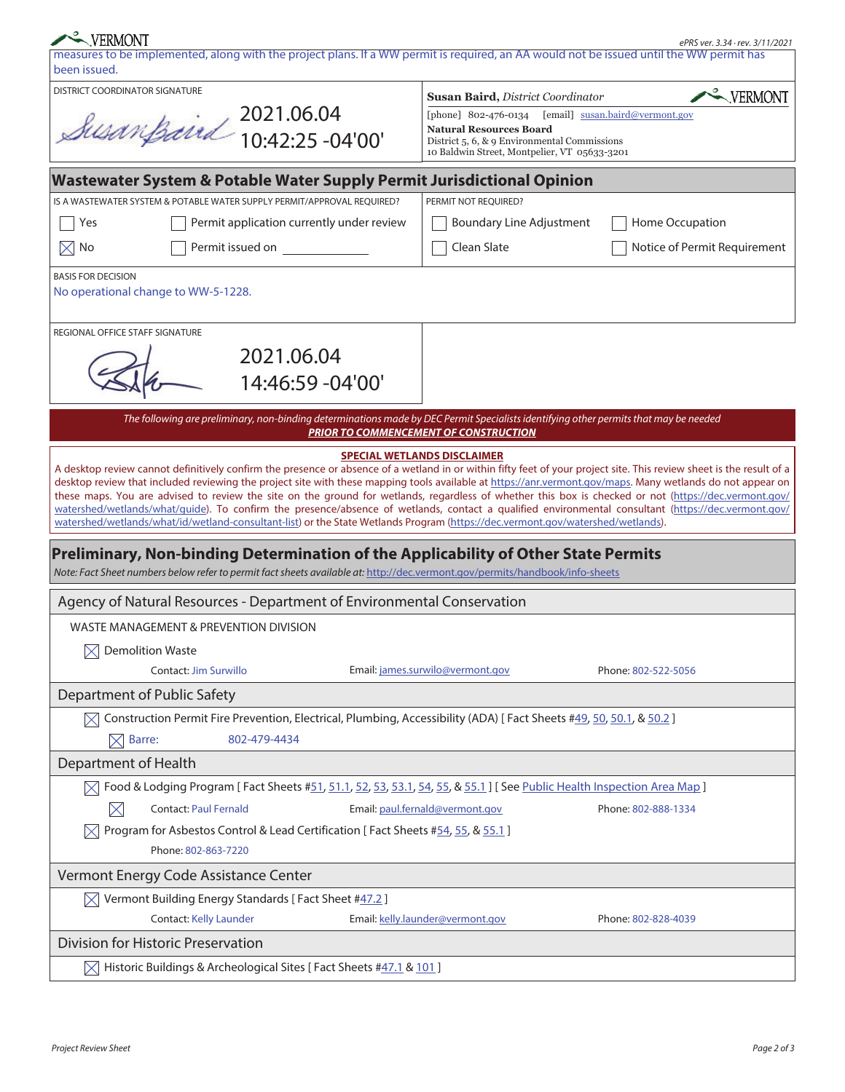| VERMONT                                                                                                                                                                                                                                                                                                             |                                                                                | ePRS ver. 3.34 · rev. 3/11/2021 |  |  |  |  |  |
|---------------------------------------------------------------------------------------------------------------------------------------------------------------------------------------------------------------------------------------------------------------------------------------------------------------------|--------------------------------------------------------------------------------|---------------------------------|--|--|--|--|--|
| measures to be implemented, along with the project plans. If a WW permit is required, an AA would not be issued until the WW permit has<br>been issued.                                                                                                                                                             |                                                                                |                                 |  |  |  |  |  |
| <b>DISTRICT COORDINATOR SIGNATURE</b>                                                                                                                                                                                                                                                                               | <b>Susan Baird, District Coordinator</b>                                       | <b>WERMONT</b>                  |  |  |  |  |  |
|                                                                                                                                                                                                                                                                                                                     | [email] susan.baird@vermont.gov<br>[phone] 802-476-0134                        |                                 |  |  |  |  |  |
| Susanpaird 2021.06.04                                                                                                                                                                                                                                                                                               | <b>Natural Resources Board</b><br>District 5, 6, & 9 Environmental Commissions |                                 |  |  |  |  |  |
|                                                                                                                                                                                                                                                                                                                     | 10 Baldwin Street, Montpelier, VT 05633-3201                                   |                                 |  |  |  |  |  |
| Wastewater System & Potable Water Supply Permit Jurisdictional Opinion                                                                                                                                                                                                                                              |                                                                                |                                 |  |  |  |  |  |
| IS A WASTEWATER SYSTEM & POTABLE WATER SUPPLY PERMIT/APPROVAL REOUIRED?                                                                                                                                                                                                                                             | PERMIT NOT REOUIRED?                                                           |                                 |  |  |  |  |  |
| Permit application currently under review<br>Yes                                                                                                                                                                                                                                                                    | <b>Boundary Line Adjustment</b>                                                | Home Occupation                 |  |  |  |  |  |
| Permit issued on<br>$\times$<br>No                                                                                                                                                                                                                                                                                  | Clean Slate                                                                    | Notice of Permit Requirement    |  |  |  |  |  |
| <b>BASIS FOR DECISION</b>                                                                                                                                                                                                                                                                                           |                                                                                |                                 |  |  |  |  |  |
| No operational change to WW-5-1228.                                                                                                                                                                                                                                                                                 |                                                                                |                                 |  |  |  |  |  |
| REGIONAL OFFICE STAFF SIGNATURE                                                                                                                                                                                                                                                                                     |                                                                                |                                 |  |  |  |  |  |
| 2021.06.04                                                                                                                                                                                                                                                                                                          |                                                                                |                                 |  |  |  |  |  |
| 14:46:59 -04'00'                                                                                                                                                                                                                                                                                                    |                                                                                |                                 |  |  |  |  |  |
|                                                                                                                                                                                                                                                                                                                     |                                                                                |                                 |  |  |  |  |  |
| The following are preliminary, non-binding determinations made by DEC Permit Specialists identifying other permits that may be needed                                                                                                                                                                               | <b>PRIOR TO COMMENCEMENT OF CONSTRUCTION</b>                                   |                                 |  |  |  |  |  |
|                                                                                                                                                                                                                                                                                                                     | <b>SPECIAL WETLANDS DISCLAIMER</b>                                             |                                 |  |  |  |  |  |
| A desktop review cannot definitively confirm the presence or absence of a wetland in or within fifty feet of your project site. This review sheet is the result of a                                                                                                                                                |                                                                                |                                 |  |  |  |  |  |
| desktop review that included reviewing the project site with these mapping tools available at https://anr.vermont.gov/maps. Many wetlands do not appear on<br>these maps. You are advised to review the site on the ground for wetlands, regardless of whether this box is checked or not (https://dec.vermont.gov/ |                                                                                |                                 |  |  |  |  |  |
| watershed/wetlands/what/guide). To confirm the presence/absence of wetlands, contact a qualified environmental consultant (https://dec.vermont.gov/                                                                                                                                                                 |                                                                                |                                 |  |  |  |  |  |
| watershed/wetlands/what/id/wetland-consultant-list) or the State Wetlands Program (https://dec.vermont.gov/watershed/wetlands).                                                                                                                                                                                     |                                                                                |                                 |  |  |  |  |  |
| Preliminary, Non-binding Determination of the Applicability of Other State Permits<br>Note: Fact Sheet numbers below refer to permit fact sheets available at: http://dec.vermont.gov/permits/handbook/info-sheets                                                                                                  |                                                                                |                                 |  |  |  |  |  |
| Agency of Natural Resources - Department of Environmental Conservation                                                                                                                                                                                                                                              |                                                                                |                                 |  |  |  |  |  |
| WASTE MANAGEMENT & PREVENTION DIVISION                                                                                                                                                                                                                                                                              |                                                                                |                                 |  |  |  |  |  |
| $\boxtimes$ Demolition Waste                                                                                                                                                                                                                                                                                        |                                                                                |                                 |  |  |  |  |  |
| Contact: Jim Surwillo<br>Email: james.surwilo@vermont.gov<br>Phone: 802-522-5056                                                                                                                                                                                                                                    |                                                                                |                                 |  |  |  |  |  |
| Department of Public Safety                                                                                                                                                                                                                                                                                         |                                                                                |                                 |  |  |  |  |  |
| $\boxtimes$ Construction Permit Fire Prevention, Electrical, Plumbing, Accessibility (ADA) [Fact Sheets #49, 50, 50.1, & 50.2]                                                                                                                                                                                      |                                                                                |                                 |  |  |  |  |  |
| Barre:<br>802-479-4434<br>$\times$                                                                                                                                                                                                                                                                                  |                                                                                |                                 |  |  |  |  |  |
| Department of Health                                                                                                                                                                                                                                                                                                |                                                                                |                                 |  |  |  |  |  |
| Food & Lodging Program [Fact Sheets #51, 51.1, 52, 53, 53.1, 54, 55, & 55.1] [See Public Health Inspection Area Map]                                                                                                                                                                                                |                                                                                |                                 |  |  |  |  |  |
| $\times$<br><b>Contact: Paul Fernald</b>                                                                                                                                                                                                                                                                            | Email: paul.fernald@vermont.gov                                                | Phone: 802-888-1334             |  |  |  |  |  |
| Program for Asbestos Control & Lead Certification [Fact Sheets #54, 55, & 55.1]<br>$\bowtie$                                                                                                                                                                                                                        |                                                                                |                                 |  |  |  |  |  |
| Phone: 802-863-7220                                                                                                                                                                                                                                                                                                 |                                                                                |                                 |  |  |  |  |  |
| Vermont Energy Code Assistance Center                                                                                                                                                                                                                                                                               |                                                                                |                                 |  |  |  |  |  |
| Vermont Building Energy Standards [ Fact Sheet #47.2 ]<br>$\mathbb{X}$                                                                                                                                                                                                                                              |                                                                                |                                 |  |  |  |  |  |
| <b>Contact: Kelly Launder</b>                                                                                                                                                                                                                                                                                       | Email: kelly.launder@vermont.gov                                               | Phone: 802-828-4039             |  |  |  |  |  |
| Division for Historic Preservation                                                                                                                                                                                                                                                                                  |                                                                                |                                 |  |  |  |  |  |
| $\boxtimes$ Historic Buildings & Archeological Sites [ Fact Sheets #47.1 & 101 ]                                                                                                                                                                                                                                    |                                                                                |                                 |  |  |  |  |  |